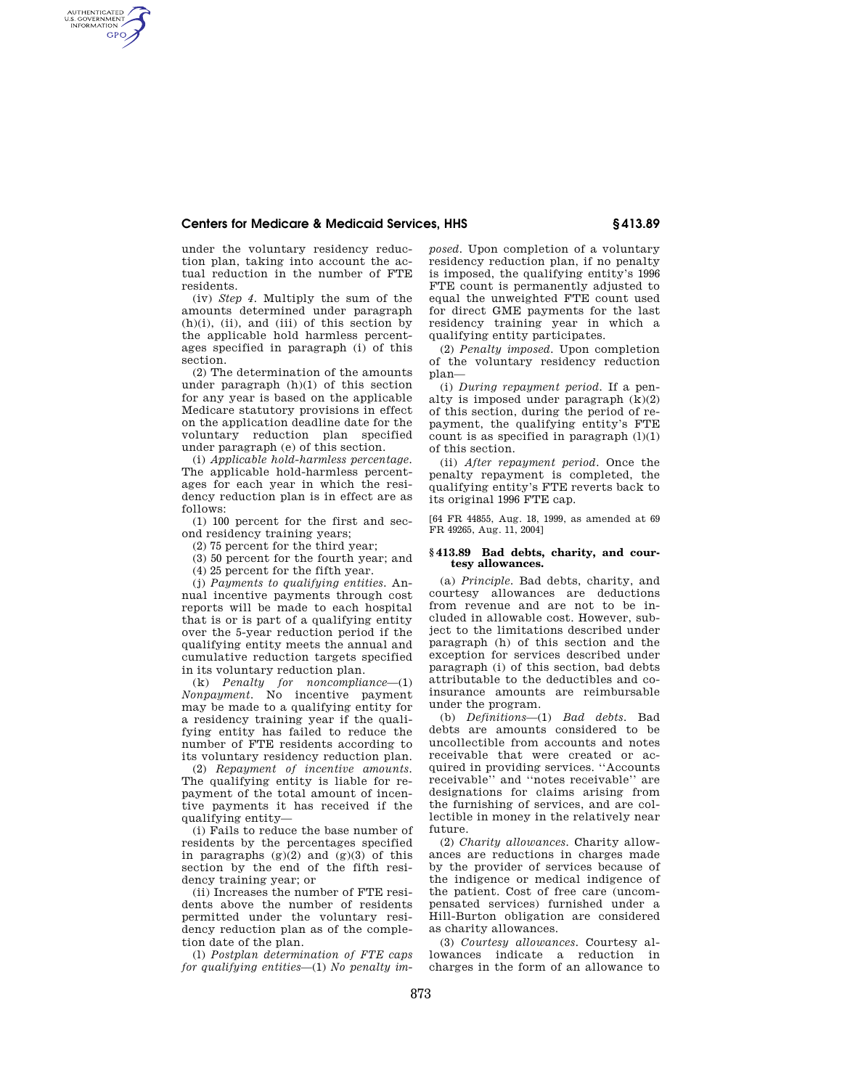## **Centers for Medicare & Medicaid Services, HHS § 413.89**

under the voluntary residency reduction plan, taking into account the actual reduction in the number of FTE residents.

AUTHENTICATED<br>U.S. GOVERNMENT<br>INFORMATION **GPO** 

> (iv) *Step 4.* Multiply the sum of the amounts determined under paragraph  $(h)(i)$ , (ii), and (iii) of this section by the applicable hold harmless percentages specified in paragraph (i) of this section.

> (2) The determination of the amounts under paragraph (h)(1) of this section for any year is based on the applicable Medicare statutory provisions in effect on the application deadline date for the voluntary reduction plan specified under paragraph (e) of this section.

> (i) *Applicable hold-harmless percentage.*  The applicable hold-harmless percentages for each year in which the residency reduction plan is in effect are as follows:

(1) 100 percent for the first and second residency training years;

(2) 75 percent for the third year;

(3) 50 percent for the fourth year; and

(4) 25 percent for the fifth year.

(j) *Payments to qualifying entities.* Annual incentive payments through cost reports will be made to each hospital that is or is part of a qualifying entity over the 5-year reduction period if the qualifying entity meets the annual and cumulative reduction targets specified in its voluntary reduction plan.

(k) *Penalty for noncompliance*—(1) *Nonpayment.* No incentive payment may be made to a qualifying entity for a residency training year if the qualifying entity has failed to reduce the number of FTE residents according to its voluntary residency reduction plan.

(2) *Repayment of incentive amounts.*  The qualifying entity is liable for repayment of the total amount of incentive payments it has received if the qualifying entity—

(i) Fails to reduce the base number of residents by the percentages specified in paragraphs  $(g)(2)$  and  $(g)(3)$  of this section by the end of the fifth residency training year; or

(ii) Increases the number of FTE residents above the number of residents permitted under the voluntary residency reduction plan as of the completion date of the plan.

(l) *Postplan determination of FTE caps for qualifying entities*—(1) *No penalty im-* *posed.* Upon completion of a voluntary residency reduction plan, if no penalty is imposed, the qualifying entity's 1996 FTE count is permanently adjusted to equal the unweighted FTE count used for direct GME payments for the last residency training year in which a qualifying entity participates.

(2) *Penalty imposed.* Upon completion of the voluntary residency reduction plan—

(i) *During repayment period.* If a penalty is imposed under paragraph  $(k)(2)$ of this section, during the period of repayment, the qualifying entity's FTE count is as specified in paragraph  $(l)(1)$ of this section.

(ii) *After repayment period.* Once the penalty repayment is completed, the qualifying entity's FTE reverts back to its original 1996 FTE cap.

[64 FR 44855, Aug. 18, 1999, as amended at 69 FR 49265, Aug. 11, 2004]

## **§ 413.89 Bad debts, charity, and courtesy allowances.**

(a) *Principle.* Bad debts, charity, and courtesy allowances are deductions from revenue and are not to be included in allowable cost. However, subject to the limitations described under paragraph (h) of this section and the exception for services described under paragraph (i) of this section, bad debts attributable to the deductibles and coinsurance amounts are reimbursable under the program.

(b) *Definitions*—(1) *Bad debts.* Bad debts are amounts considered to be uncollectible from accounts and notes receivable that were created or acquired in providing services. ''Accounts receivable'' and ''notes receivable'' are designations for claims arising from the furnishing of services, and are collectible in money in the relatively near future.

(2) *Charity allowances.* Charity allowances are reductions in charges made by the provider of services because of the indigence or medical indigence of the patient. Cost of free care (uncompensated services) furnished under a Hill-Burton obligation are considered as charity allowances.

(3) *Courtesy allowances.* Courtesy allowances indicate a reduction in charges in the form of an allowance to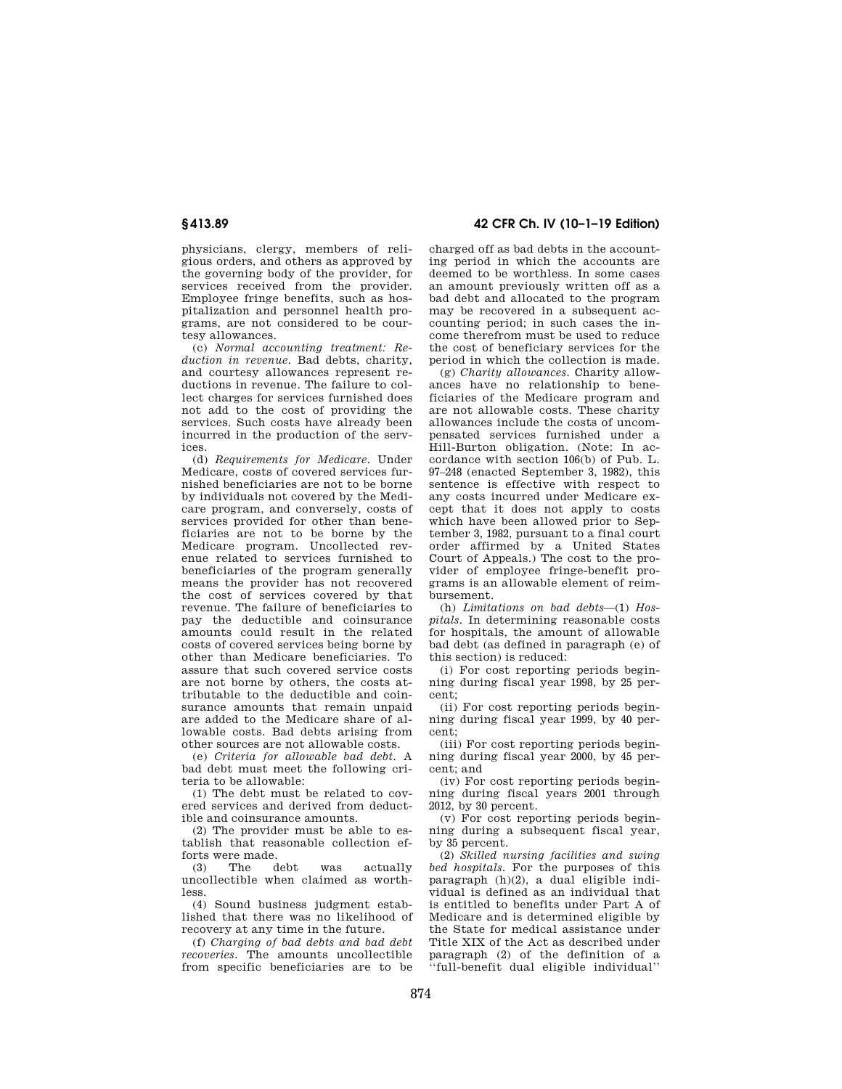physicians, clergy, members of religious orders, and others as approved by the governing body of the provider, for services received from the provider. Employee fringe benefits, such as hospitalization and personnel health programs, are not considered to be courtesy allowances.

(c) *Normal accounting treatment: Reduction in revenue.* Bad debts, charity, and courtesy allowances represent reductions in revenue. The failure to collect charges for services furnished does not add to the cost of providing the services. Such costs have already been incurred in the production of the services.

(d) *Requirements for Medicare.* Under Medicare, costs of covered services furnished beneficiaries are not to be borne by individuals not covered by the Medicare program, and conversely, costs of services provided for other than beneficiaries are not to be borne by the Medicare program. Uncollected revenue related to services furnished to beneficiaries of the program generally means the provider has not recovered the cost of services covered by that revenue. The failure of beneficiaries to pay the deductible and coinsurance amounts could result in the related costs of covered services being borne by other than Medicare beneficiaries. To assure that such covered service costs are not borne by others, the costs attributable to the deductible and coinsurance amounts that remain unpaid are added to the Medicare share of allowable costs. Bad debts arising from other sources are not allowable costs.

(e) *Criteria for allowable bad debt.* A bad debt must meet the following criteria to be allowable:

(1) The debt must be related to covered services and derived from deductible and coinsurance amounts.

(2) The provider must be able to establish that reasonable collection efforts were made.<br>(3) The debt

(3) The debt was actually uncollectible when claimed as worthless.

(4) Sound business judgment established that there was no likelihood of recovery at any time in the future.

(f) *Charging of bad debts and bad debt recoveries.* The amounts uncollectible from specific beneficiaries are to be

**§ 413.89 42 CFR Ch. IV (10–1–19 Edition)** 

charged off as bad debts in the accounting period in which the accounts are deemed to be worthless. In some cases an amount previously written off as a bad debt and allocated to the program may be recovered in a subsequent accounting period; in such cases the income therefrom must be used to reduce the cost of beneficiary services for the period in which the collection is made.

(g) *Charity allowances.* Charity allowances have no relationship to beneficiaries of the Medicare program and are not allowable costs. These charity allowances include the costs of uncompensated services furnished under a Hill-Burton obligation. (Note: In accordance with section 106(b) of Pub. L. 97–248 (enacted September 3, 1982), this sentence is effective with respect to any costs incurred under Medicare except that it does not apply to costs which have been allowed prior to September 3, 1982, pursuant to a final court order affirmed by a United States Court of Appeals.) The cost to the provider of employee fringe-benefit programs is an allowable element of reimbursement.

(h) *Limitations on bad debts*—(1) *Hospitals.* In determining reasonable costs for hospitals, the amount of allowable bad debt (as defined in paragraph (e) of this section) is reduced:

(i) For cost reporting periods beginning during fiscal year 1998, by 25 percent;

(ii) For cost reporting periods beginning during fiscal year 1999, by 40 percent;

(iii) For cost reporting periods beginning during fiscal year 2000, by 45 percent; and

(iv) For cost reporting periods beginning during fiscal years 2001 through 2012, by 30 percent.

(v) For cost reporting periods beginning during a subsequent fiscal year, by 35 percent.

(2) *Skilled nursing facilities and swing bed hospitals.* For the purposes of this paragraph (h)(2), a dual eligible individual is defined as an individual that is entitled to benefits under Part A of Medicare and is determined eligible by the State for medical assistance under Title XIX of the Act as described under paragraph (2) of the definition of a ''full-benefit dual eligible individual''